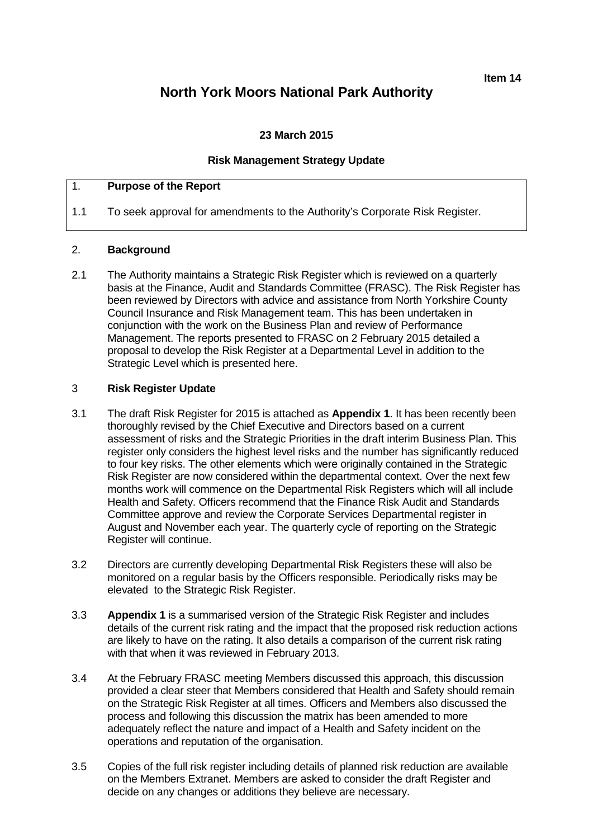**Item 14**

# **North York Moors National Park Authority**

### **23 March 2015**

### **Risk Management Strategy Update**

## 1. **Purpose of the Report**

1.1 To seek approval for amendments to the Authority's Corporate Risk Register.

### 2. **Background**

2.1 The Authority maintains a Strategic Risk Register which is reviewed on a quarterly basis at the Finance, Audit and Standards Committee (FRASC). The Risk Register has been reviewed by Directors with advice and assistance from North Yorkshire County Council Insurance and Risk Management team. This has been undertaken in conjunction with the work on the Business Plan and review of Performance Management. The reports presented to FRASC on 2 February 2015 detailed a proposal to develop the Risk Register at a Departmental Level in addition to the Strategic Level which is presented here.

### 3 **Risk Register Update**

- 3.1 The draft Risk Register for 2015 is attached as **Appendix 1**. It has been recently been thoroughly revised by the Chief Executive and Directors based on a current assessment of risks and the Strategic Priorities in the draft interim Business Plan. This register only considers the highest level risks and the number has significantly reduced to four key risks. The other elements which were originally contained in the Strategic Risk Register are now considered within the departmental context. Over the next few months work will commence on the Departmental Risk Registers which will all include Health and Safety. Officers recommend that the Finance Risk Audit and Standards Committee approve and review the Corporate Services Departmental register in August and November each year. The quarterly cycle of reporting on the Strategic Register will continue.
- 3.2 Directors are currently developing Departmental Risk Registers these will also be monitored on a regular basis by the Officers responsible. Periodically risks may be elevated to the Strategic Risk Register.
- 3.3 **Appendix 1** is a summarised version of the Strategic Risk Register and includes details of the current risk rating and the impact that the proposed risk reduction actions are likely to have on the rating. It also details a comparison of the current risk rating with that when it was reviewed in February 2013.
- 3.4 At the February FRASC meeting Members discussed this approach, this discussion provided a clear steer that Members considered that Health and Safety should remain on the Strategic Risk Register at all times. Officers and Members also discussed the process and following this discussion the matrix has been amended to more adequately reflect the nature and impact of a Health and Safety incident on the operations and reputation of the organisation.
- 3.5 Copies of the full risk register including details of planned risk reduction are available on the Members Extranet. Members are asked to consider the draft Register and decide on any changes or additions they believe are necessary.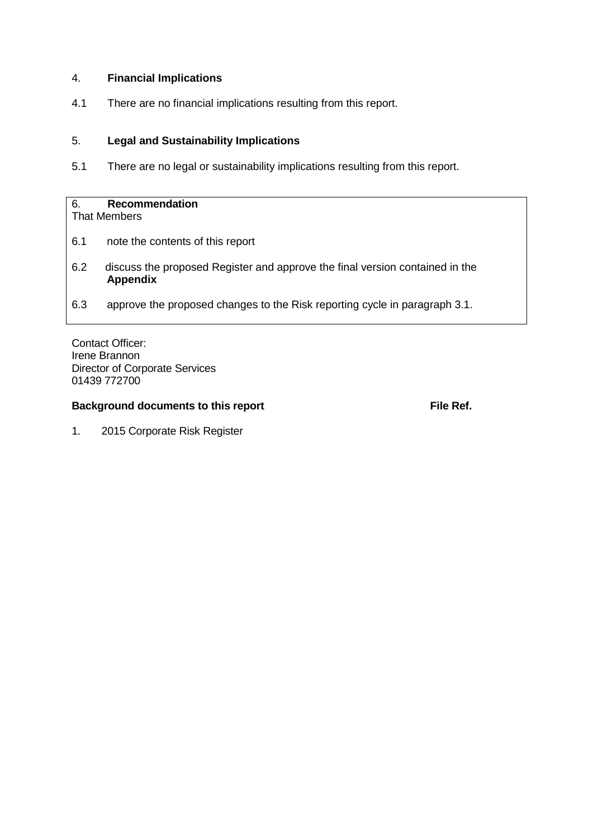### 4. **Financial Implications**

4.1 There are no financial implications resulting from this report.

### 5. **Legal and Sustainability Implications**

5.1 There are no legal or sustainability implications resulting from this report.

# 6. **Recommendation**

That Members

- 6.1 note the contents of this report
- 6.2 discuss the proposed Register and approve the final version contained in the **Appendix**
- 6.3 approve the proposed changes to the Risk reporting cycle in paragraph 3.1.

Contact Officer: Irene Brannon Director of Corporate Services 01439 772700

### **Background documents to this report File Ref. File Ref.**

1. 2015 Corporate Risk Register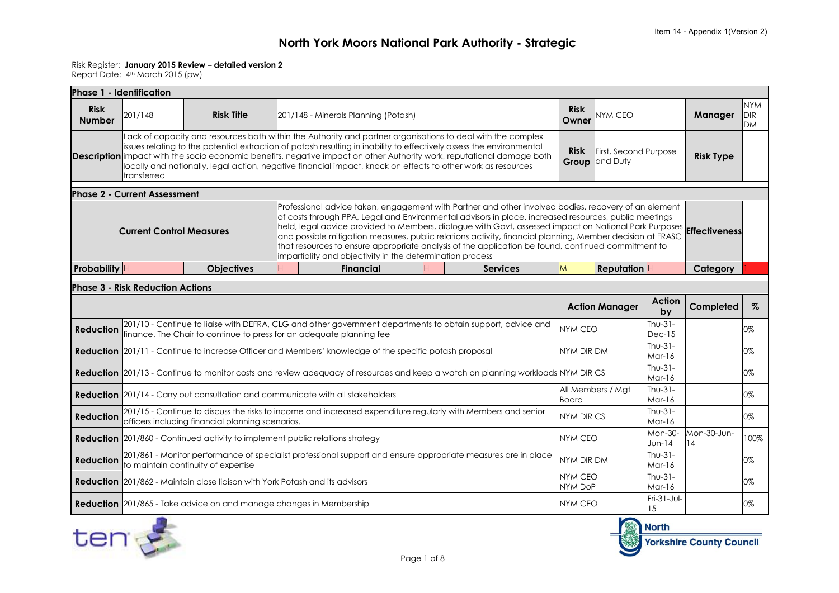#### Risk Register: **January 2015 Review – detailed version 2**

Report Date: 4th March 2015 (pw)

|                              | Phase 1 - Identification                |                                                                                                                                                                                                                                                                                                                                                                                                                                                                                      |                      |                                                                                                               |         |                                                                                                                                                                                                                                                                                                                                                                                                                                                                                                                                                                |                               |                                |                        |           |      |
|------------------------------|-----------------------------------------|--------------------------------------------------------------------------------------------------------------------------------------------------------------------------------------------------------------------------------------------------------------------------------------------------------------------------------------------------------------------------------------------------------------------------------------------------------------------------------------|----------------------|---------------------------------------------------------------------------------------------------------------|---------|----------------------------------------------------------------------------------------------------------------------------------------------------------------------------------------------------------------------------------------------------------------------------------------------------------------------------------------------------------------------------------------------------------------------------------------------------------------------------------------------------------------------------------------------------------------|-------------------------------|--------------------------------|------------------------|-----------|------|
| <b>Risk</b><br><b>Number</b> | 201/148                                 | <b>Risk Title</b>                                                                                                                                                                                                                                                                                                                                                                                                                                                                    |                      | <b>Risk</b><br>Owner                                                                                          | NYM CEO |                                                                                                                                                                                                                                                                                                                                                                                                                                                                                                                                                                | <b>Manager</b>                | <b>NYM</b><br>DIR<br><b>DM</b> |                        |           |      |
|                              | transferred                             | Lack of capacity and resources both within the Authority and partner organisations to deal with the complex<br>issues relating to the potential extraction of potash resulting in inability to effectively assess the environmental<br><b>Description</b> impact with the socio economic benefits, negative impact on other Authority work, reputational damage both<br>locally and nationally, legal action, negative financial impact, knock on effects to other work as resources | <b>Risk</b><br>Group | First, Second Purpose<br>and Duty                                                                             |         | <b>Risk Type</b>                                                                                                                                                                                                                                                                                                                                                                                                                                                                                                                                               |                               |                                |                        |           |      |
|                              | <b>Phase 2 - Current Assessment</b>     |                                                                                                                                                                                                                                                                                                                                                                                                                                                                                      |                      |                                                                                                               |         |                                                                                                                                                                                                                                                                                                                                                                                                                                                                                                                                                                |                               |                                |                        |           |      |
|                              | <b>Current Control Measures</b>         |                                                                                                                                                                                                                                                                                                                                                                                                                                                                                      |                      | impartiality and objectivity in the determination process                                                     |         | Professional advice taken, engagement with Partner and other involved bodies, recovery of an element<br>of costs through PPA, Legal and Environmental advisors in place, increased resources, public meetings<br>held, legal advice provided to Members, dialogue with Govt, assessed impact on National Park Purposes <b>Effectiveness</b><br>and possible mitigation measures, public relations activity, financial planning, Member decision at FRASC<br>that resources to ensure appropriate analysis of the application be found, continued commitment to |                               |                                |                        |           |      |
| Probability H                |                                         | <b>Objectives</b>                                                                                                                                                                                                                                                                                                                                                                                                                                                                    | H                    | <b>Financial</b>                                                                                              | H       | <b>Services</b>                                                                                                                                                                                                                                                                                                                                                                                                                                                                                                                                                | M                             | <b>Reputation H</b>            |                        | Category  |      |
|                              | <b>Phase 3 - Risk Reduction Actions</b> |                                                                                                                                                                                                                                                                                                                                                                                                                                                                                      |                      |                                                                                                               |         |                                                                                                                                                                                                                                                                                                                                                                                                                                                                                                                                                                |                               |                                |                        |           |      |
|                              |                                         |                                                                                                                                                                                                                                                                                                                                                                                                                                                                                      |                      |                                                                                                               |         |                                                                                                                                                                                                                                                                                                                                                                                                                                                                                                                                                                |                               | <b>Action Manager</b>          | Action<br>by           | Completed | $\%$ |
| <b>Reduction</b>             |                                         | finance. The Chair to continue to press for an adequate planning fee                                                                                                                                                                                                                                                                                                                                                                                                                 |                      |                                                                                                               |         | 201/10 - Continue to liaise with DEFRA, CLG and other government departments to obtain support, advice and                                                                                                                                                                                                                                                                                                                                                                                                                                                     | <b>NYM CEO</b>                |                                | Thu- $31-$<br>$Dec-15$ |           | 0%   |
|                              |                                         |                                                                                                                                                                                                                                                                                                                                                                                                                                                                                      |                      | <b>Reduction</b> 201/11 - Continue to increase Officer and Members' knowledge of the specific potash proposal |         |                                                                                                                                                                                                                                                                                                                                                                                                                                                                                                                                                                | NYM DIR DM                    |                                | Thu-31-<br>Mar-16      |           | 0%   |
|                              |                                         |                                                                                                                                                                                                                                                                                                                                                                                                                                                                                      |                      |                                                                                                               |         | Reduction 201/13 - Continue to monitor costs and review adequacy of resources and keep a watch on planning workloads NYM DIR CS                                                                                                                                                                                                                                                                                                                                                                                                                                |                               |                                | Thu-31-<br>Mar-16      |           | 0%   |
|                              |                                         |                                                                                                                                                                                                                                                                                                                                                                                                                                                                                      |                      | <b>Reduction</b> 201/14 - Carry out consultation and communicate with all stakeholders                        |         |                                                                                                                                                                                                                                                                                                                                                                                                                                                                                                                                                                | Board                         | All Members / Mgt              | Thu-31-<br>$Mar-16$    |           | 0%   |
| <b>Reduction</b>             |                                         | officers including financial planning scenarios.                                                                                                                                                                                                                                                                                                                                                                                                                                     |                      |                                                                                                               |         | 201/15 - Continue to discuss the risks to income and increased expenditure regularly with Members and senior                                                                                                                                                                                                                                                                                                                                                                                                                                                   | <b>NYM DIR CS</b>             |                                | $Thu-31-$<br>$Mar-16$  |           | 0%   |
|                              |                                         | <b>Reduction</b> 201/860 - Continued activity to implement public relations strategy                                                                                                                                                                                                                                                                                                                                                                                                 |                      | <b>NYM CEO</b>                                                                                                |         | Mon-30-<br>$Jun-14$                                                                                                                                                                                                                                                                                                                                                                                                                                                                                                                                            | Mon-30-Jun-<br>14             | 100%                           |                        |           |      |
| <b>Reduction</b>             |                                         | to maintain continuity of expertise                                                                                                                                                                                                                                                                                                                                                                                                                                                  |                      |                                                                                                               |         | 201/861 - Monitor performance of specialist professional support and ensure appropriate measures are in place                                                                                                                                                                                                                                                                                                                                                                                                                                                  | NYM DIR DM                    |                                | Thu-31-<br>Mar-16      |           | 0%   |
|                              |                                         | <b>Reduction</b> 201/862 - Maintain close liaison with York Potash and its advisors                                                                                                                                                                                                                                                                                                                                                                                                  |                      |                                                                                                               |         |                                                                                                                                                                                                                                                                                                                                                                                                                                                                                                                                                                | <b>NYM CEO</b><br>$11110 - 5$ |                                | Thu-31-<br>$-1/$       |           | 0%   |





 $\begin{array}{c} \text{Im} \sqrt{1-\frac{1}{2}} \\ \text{Mar-16} \end{array}$  0%

 $\begin{bmatrix} 11 & 31 & 30 \\ 15 & 1 \end{bmatrix}$  0%

NYM DoP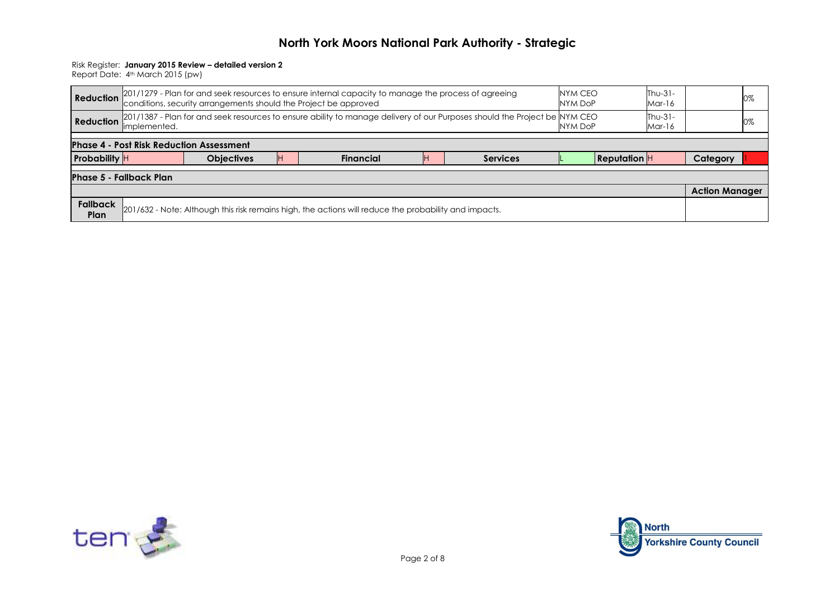#### Risk Register: **January 2015 Review – detailed version 2**

|                         | Reduction 201/1279 - Plan for and seek resources to ensure internal capacity to manage the process of agreeing<br>Reduction conditions, security arrangements should the Project be approved       | NYM CEO<br>NYM DoP | $Thu-31-$<br>Mar-16 |                                                                                                       | 0% |  |  |  |  |  |  |  |  |
|-------------------------|----------------------------------------------------------------------------------------------------------------------------------------------------------------------------------------------------|--------------------|---------------------|-------------------------------------------------------------------------------------------------------|----|--|--|--|--|--|--|--|--|
|                         | $Thu-31-$<br>[201/1387 - Plan for and seek resources to ensure ability to manage delivery of our Purposes should the Project be INYM CEO<br><b>Reduction</b><br>NYM DoP<br>limplemented.<br>Mar-16 |                    |                     |                                                                                                       |    |  |  |  |  |  |  |  |  |
|                         | <b>Phase 4 - Post Risk Reduction Assessment</b>                                                                                                                                                    |                    |                     |                                                                                                       |    |  |  |  |  |  |  |  |  |
|                         | <b>Probability</b><br><b>Reputation H</b><br><b>Objectives</b><br>Category<br><b>Services</b><br><b>Financial</b>                                                                                  |                    |                     |                                                                                                       |    |  |  |  |  |  |  |  |  |
|                         | <b>Phase 5 - Fallback Plan</b>                                                                                                                                                                     |                    |                     |                                                                                                       |    |  |  |  |  |  |  |  |  |
|                         |                                                                                                                                                                                                    |                    |                     |                                                                                                       |    |  |  |  |  |  |  |  |  |
| <b>Fallback</b><br>Plan |                                                                                                                                                                                                    |                    |                     | 201/632 - Note: Although this risk remains high, the actions will reduce the probability and impacts. |    |  |  |  |  |  |  |  |  |



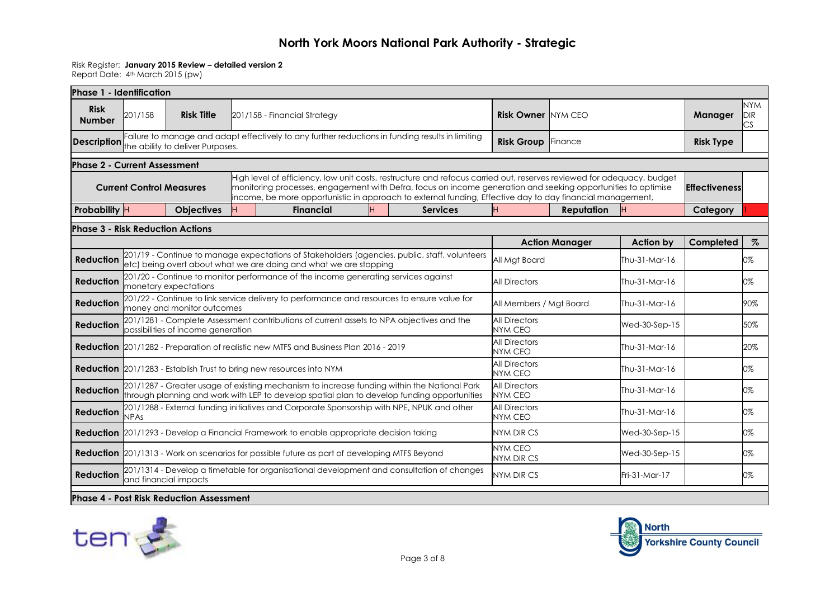#### Risk Register: **January 2015 Review – detailed version 2**

Report Date: 4th March 2015 (pw)

| Phase 1 - Identification                |                                 |                                               |                                                                                                                                                                                            |                   |                                                                                                                                                                                                                                                                                                                                                     |                                        |                       |                  |                      |                                |
|-----------------------------------------|---------------------------------|-----------------------------------------------|--------------------------------------------------------------------------------------------------------------------------------------------------------------------------------------------|-------------------|-----------------------------------------------------------------------------------------------------------------------------------------------------------------------------------------------------------------------------------------------------------------------------------------------------------------------------------------------------|----------------------------------------|-----------------------|------------------|----------------------|--------------------------------|
| <b>Risk</b><br><b>Number</b>            | 201/158                         | <b>Risk Title</b>                             | 201/158 - Financial Strategy                                                                                                                                                               |                   |                                                                                                                                                                                                                                                                                                                                                     | <b>Risk Owner NYM CEO</b>              |                       |                  | Manager              | <b>NYM</b><br><b>DIR</b><br>CS |
| <b>Description</b>                      |                                 | the ability to deliver Purposes.              | Failure to manage and adapt effectively to any further reductions in funding results in limiting                                                                                           | <b>Risk Group</b> | <b>Finance</b>                                                                                                                                                                                                                                                                                                                                      | <b>Risk Type</b>                       |                       |                  |                      |                                |
| <b>Phase 2 - Current Assessment</b>     |                                 |                                               |                                                                                                                                                                                            |                   |                                                                                                                                                                                                                                                                                                                                                     |                                        |                       |                  |                      |                                |
|                                         | <b>Current Control Measures</b> |                                               |                                                                                                                                                                                            |                   | High level of efficiency, low unit costs, restructure and refocus carried out, reserves reviewed for adequacy, budget<br>monitoring processes, engagement with Defra, focus on income generation and seeking opportunities to optimise<br>income, be more opportunistic in approach to external funding, Effective day to day financial management, |                                        |                       |                  | <b>Effectiveness</b> |                                |
| Probability H                           |                                 | <b>Objectives</b>                             | <b>Financial</b>                                                                                                                                                                           | н                 | <b>Services</b>                                                                                                                                                                                                                                                                                                                                     | н                                      | <b>Reputation</b>     |                  | Category             |                                |
| <b>Phase 3 - Risk Reduction Actions</b> |                                 |                                               |                                                                                                                                                                                            |                   |                                                                                                                                                                                                                                                                                                                                                     |                                        |                       |                  |                      |                                |
|                                         |                                 |                                               |                                                                                                                                                                                            |                   |                                                                                                                                                                                                                                                                                                                                                     |                                        | <b>Action Manager</b> | <b>Action by</b> | Completed            | $\%$                           |
| <b>Reduction</b>                        |                                 |                                               | etc) being overt about what we are doing and what we are stopping                                                                                                                          |                   | 201/19 - Continue to manage expectations of Stakeholders (agencies, public, staff, volunteers                                                                                                                                                                                                                                                       | All Mgt Board                          |                       | Thu-31-Mar-16    |                      | 0%                             |
| <b>Reduction</b>                        |                                 | monetary expectations                         | 201/20 - Continue to monitor performance of the income generating services against                                                                                                         |                   |                                                                                                                                                                                                                                                                                                                                                     | <b>All Directors</b>                   |                       | Thu-31-Mar-16    |                      | 0%                             |
| <b>Reduction</b>                        |                                 | money and monitor outcomes                    | 201/22 - Continue to link service delivery to performance and resources to ensure value for                                                                                                |                   |                                                                                                                                                                                                                                                                                                                                                     | All Members / Mgt Board                |                       | Thu-31-Mar-16    |                      | 90%                            |
| <b>Reduction</b>                        |                                 | possibilities of income generation            | 201/1281 - Complete Assessment contributions of current assets to NPA objectives and the                                                                                                   |                   |                                                                                                                                                                                                                                                                                                                                                     | <b>All Directors</b><br><b>NYM CEO</b> |                       | Wed-30-Sep-15    |                      | 50%                            |
|                                         |                                 |                                               | <b>Reduction</b> 201/1282 - Preparation of realistic new MTFS and Business Plan 2016 - 2019                                                                                                |                   |                                                                                                                                                                                                                                                                                                                                                     | <b>All Directors</b><br>NYM CEO        |                       | Thu-31-Mar-16    |                      | 20%                            |
|                                         |                                 |                                               | <b>Reduction</b> 201/1283 - Establish Trust to bring new resources into NYM                                                                                                                |                   |                                                                                                                                                                                                                                                                                                                                                     | <b>All Directors</b><br><b>NYM CEO</b> |                       | Thu-31-Mar-16    |                      | 0%                             |
| <b>Reduction</b>                        |                                 |                                               | 201/1287 - Greater usage of existing mechanism to increase funding within the National Park<br>through planning and work with LEP to develop spatial plan to develop funding opportunities |                   |                                                                                                                                                                                                                                                                                                                                                     | <b>All Directors</b><br><b>NYM CEO</b> |                       | Thu-31-Mar-16    |                      | 0%                             |
| <b>Reduction</b>                        | <b>NPAs</b>                     |                                               | 201/1288 - External funding initiatives and Corporate Sponsorship with NPE, NPUK and other                                                                                                 |                   |                                                                                                                                                                                                                                                                                                                                                     | <b>All Directors</b><br><b>NYM CEO</b> |                       | Thu-31-Mar-16    |                      | 0%                             |
|                                         |                                 |                                               | <b>Reduction</b> 201/1293 - Develop a Financial Framework to enable appropriate decision taking                                                                                            |                   |                                                                                                                                                                                                                                                                                                                                                     | NYM DIR CS                             |                       | Wed-30-Sep-15    |                      | 0%                             |
|                                         |                                 |                                               | <b>Reduction</b> 201/1313 - Work on scenarios for possible future as part of developing MTFS Beyond                                                                                        |                   |                                                                                                                                                                                                                                                                                                                                                     | <b>NYM CEO</b><br><b>NYM DIR CS</b>    |                       | Wed-30-Sep-15    |                      | 0%                             |
| <b>Reduction</b>                        |                                 | and financial impacts                         | 201/1314 - Develop a timetable for organisational development and consultation of changes                                                                                                  |                   |                                                                                                                                                                                                                                                                                                                                                     | <b>NYM DIR CS</b>                      |                       | $Fri-31-Mor-17$  |                      | 0%                             |
|                                         |                                 | <b>Phase 4</b> Post Pick Poduction Assossment |                                                                                                                                                                                            |                   |                                                                                                                                                                                                                                                                                                                                                     |                                        |                       |                  |                      |                                |

**Phase 4 - Post Risk Reduction Assessment**



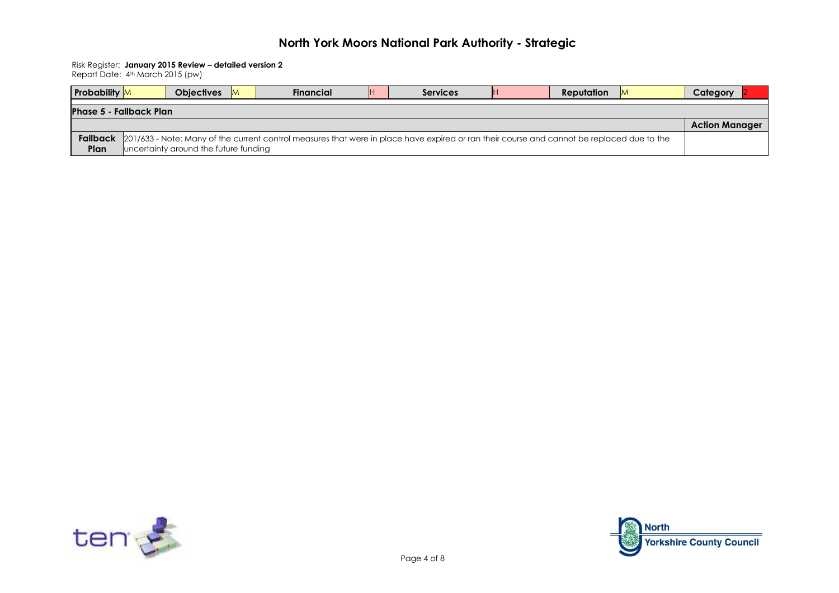Risk Register: **January 2015 Review – detailed version 2**

| <b>Probability</b> M           | <b>Objectives</b>                     | M. | <b>Financial</b>                                                                                                                            | <b>IH</b> | <b>Services</b> | <b>Reputation</b> | M | Category              |
|--------------------------------|---------------------------------------|----|---------------------------------------------------------------------------------------------------------------------------------------------|-----------|-----------------|-------------------|---|-----------------------|
| <b>Phase 5 - Fallback Plan</b> |                                       |    |                                                                                                                                             |           |                 |                   |   |                       |
|                                |                                       |    |                                                                                                                                             |           |                 |                   |   | <b>Action Manager</b> |
| Fallback<br>Plan               | uncertainty around the future funding |    | [201/633 - Note: Many of the current control measures that were in place have expired or ran their course and cannot be replaced due to the |           |                 |                   |   |                       |



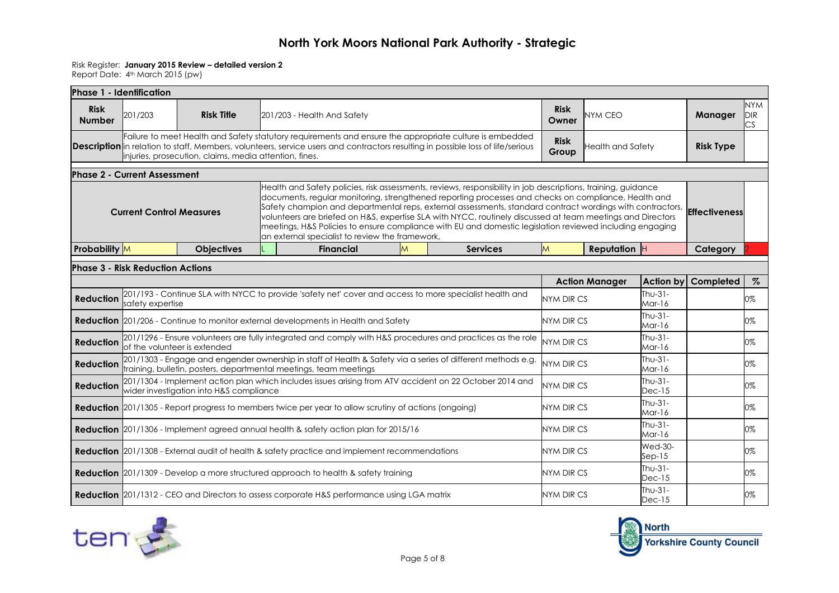#### Risk Register: **January 2015 Review – detailed version 2**

| Phase 1 - Identification     |                                         |                                                        |  |                                                                                                                                                                                                                                                                                                                                                                                                                                                                                                                                                              |   |                      |                      |                          |                       |                     |                                |
|------------------------------|-----------------------------------------|--------------------------------------------------------|--|--------------------------------------------------------------------------------------------------------------------------------------------------------------------------------------------------------------------------------------------------------------------------------------------------------------------------------------------------------------------------------------------------------------------------------------------------------------------------------------------------------------------------------------------------------------|---|----------------------|----------------------|--------------------------|-----------------------|---------------------|--------------------------------|
| <b>Risk</b><br><b>Number</b> | 201/203                                 | <b>Risk Title</b>                                      |  | 201/203 - Health And Safety                                                                                                                                                                                                                                                                                                                                                                                                                                                                                                                                  |   |                      | <b>Risk</b><br>Owner | <b>NYM CEO</b>           |                       | Manager             | <b>NYM</b><br><b>DIR</b><br>CS |
|                              |                                         | injuries, prosecution, claims, media attention, fines. |  | Failure to meet Health and Safety statutory requirements and ensure the appropriate culture is embedded<br><b>Description</b> in relation to staff, Members, volunteers, service users and contractors resulting in possible loss of life/serious                                                                                                                                                                                                                                                                                                            |   |                      | <b>Risk</b><br>Group | <b>Health and Safety</b> |                       | <b>Risk Type</b>    |                                |
|                              | <b>Phase 2 - Current Assessment</b>     |                                                        |  |                                                                                                                                                                                                                                                                                                                                                                                                                                                                                                                                                              |   |                      |                      |                          |                       |                     |                                |
|                              | <b>Current Control Measures</b>         |                                                        |  | Health and Safety policies, risk assessments, reviews, responsibility in job descriptions, training, guidance<br>documents, regular monitoring, strengthened reporting processes and checks on compliance, Health and<br>Safety champion and departmental reps, external assessments, standard contract wordings with contractors,<br>volunteers are briefed on H&S, expertise SLA with NYCC, routinely discussed at team meetings and Directors<br>meetings, H&S Policies to ensure compliance with EU and domestic legislation reviewed including engaging |   | <b>Effectiveness</b> |                      |                          |                       |                     |                                |
| <b>Probability</b> M         |                                         | <b>Objectives</b>                                      |  | <b>Financial</b>                                                                                                                                                                                                                                                                                                                                                                                                                                                                                                                                             | M | <b>Services</b>      | M                    | Reputation H             |                       | Category            |                                |
|                              | <b>Phase 3 - Risk Reduction Actions</b> |                                                        |  |                                                                                                                                                                                                                                                                                                                                                                                                                                                                                                                                                              |   |                      |                      |                          |                       |                     |                                |
|                              |                                         |                                                        |  |                                                                                                                                                                                                                                                                                                                                                                                                                                                                                                                                                              |   |                      |                      | <b>Action Manager</b>    |                       | Action by Completed | $\%$                           |
| <b>Reduction</b>             | safety expertise                        |                                                        |  | 201/193 - Continue SLA with NYCC to provide 'safety net' cover and access to more specialist health and                                                                                                                                                                                                                                                                                                                                                                                                                                                      |   |                      | NYM DIR CS           |                          | $Thu-31-$<br>$Mar-16$ |                     | 0%                             |
|                              |                                         |                                                        |  | <b>Reduction</b> 201/206 - Continue to monitor external developments in Health and Safety                                                                                                                                                                                                                                                                                                                                                                                                                                                                    |   |                      | <b>NYM DIR CS</b>    |                          | Thu-31-<br>$M$ ar-16  |                     | 0%                             |
| <b>Reduction</b>             |                                         | of the volunteer is extended                           |  | 201/1296 - Ensure volunteers are fully integrated and comply with H&S procedures and practices as the role                                                                                                                                                                                                                                                                                                                                                                                                                                                   |   |                      | <b>NYM DIR CS</b>    |                          | Thu-31-<br>$Mar-16$   |                     | 0%                             |
| <b>Reduction</b>             |                                         |                                                        |  | 201/1303 - Engage and engender ownership in staff of Health & Safety via a series of different methods e.g.<br>training, bulletin, posters, departmental meetings, team meetings                                                                                                                                                                                                                                                                                                                                                                             |   |                      | NYM DIR CS           |                          | $Thu-31-$<br>Mar-16   |                     | 0%                             |
| <b>Reduction</b>             |                                         | wider investigation into H&S compliance                |  | 201/1304 - Implement action plan which includes issues arising from ATV accident on 22 October 2014 and                                                                                                                                                                                                                                                                                                                                                                                                                                                      |   |                      | NYM DIR CS           |                          | $Thu-31-$<br>$Dec-15$ |                     | 0%                             |
|                              |                                         |                                                        |  | <b>Reduction</b> 201/1305 - Report progress to members twice per year to allow scrutiny of actions (ongoing)                                                                                                                                                                                                                                                                                                                                                                                                                                                 |   |                      | <b>NYM DIR CS</b>    |                          | $Thu-31-$<br>Mar-16   |                     | 0%                             |
|                              |                                         |                                                        |  | Reduction 201/1306 - Implement agreed annual health & safety action plan for 2015/16                                                                                                                                                                                                                                                                                                                                                                                                                                                                         |   |                      | <b>NYM DIR CS</b>    |                          | Thu-31-<br>Mar-16     |                     | 0%                             |
|                              |                                         |                                                        |  | <b>Reduction</b> 201/1308 - External audit of health & safety practice and implement recommendations                                                                                                                                                                                                                                                                                                                                                                                                                                                         |   |                      | NYM DIR CS           |                          | $Wed-30-$<br>$Sep-15$ |                     | 0%                             |
|                              |                                         |                                                        |  | <b>Reduction</b> 201/1309 - Develop a more structured approach to health & safety training                                                                                                                                                                                                                                                                                                                                                                                                                                                                   |   |                      | <b>NYM DIR CS</b>    |                          | $Thu-31-$<br>$Dec-15$ |                     | 0%                             |
|                              |                                         |                                                        |  | <b>Reduction</b> 201/1312 - CEO and Directors to assess corporate H&S performance using LGA matrix                                                                                                                                                                                                                                                                                                                                                                                                                                                           |   |                      | NYM DIR CS           |                          | Thu-31-<br>$Dec-15$   |                     | 0%                             |



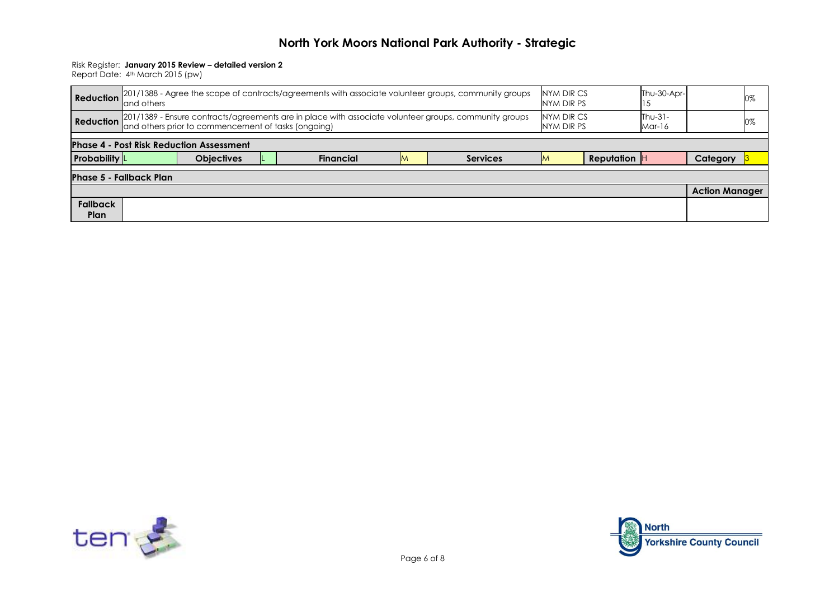#### Risk Register: **January 2015 Review – detailed version 2**

|                                                 | land others                                                                                                                                                                                                               | Reduction $201/1388$ - Agree the scope of contracts/agreements with associate volunteer groups, community groups | NYM DIR CS<br>NYM DIR PS |  | Thu-30-Apr- |  | 0% |  |  |  |  |  |  |
|-------------------------------------------------|---------------------------------------------------------------------------------------------------------------------------------------------------------------------------------------------------------------------------|------------------------------------------------------------------------------------------------------------------|--------------------------|--|-------------|--|----|--|--|--|--|--|--|
|                                                 | NYM DIR CS<br>$Thu-31-$<br>Reduction 201/1389 - Ensure contracts/agreements are in place with associate volunteer groups, community groups<br>and others prior to commencement of tasks (ongoing)<br>NYM DIR PS<br>Mar-16 |                                                                                                                  |                          |  |             |  |    |  |  |  |  |  |  |
| <b>Phase 4 - Post Risk Reduction Assessment</b> |                                                                                                                                                                                                                           |                                                                                                                  |                          |  |             |  |    |  |  |  |  |  |  |
| <b>Probability</b> L                            | <b>Financial</b><br><b>Reputation</b><br><b>Objectives</b><br><b>Services</b><br>Category<br>M                                                                                                                            |                                                                                                                  |                          |  |             |  |    |  |  |  |  |  |  |
| <b>Phase 5 - Fallback Plan</b>                  |                                                                                                                                                                                                                           |                                                                                                                  |                          |  |             |  |    |  |  |  |  |  |  |
|                                                 | <b>Action Manager</b>                                                                                                                                                                                                     |                                                                                                                  |                          |  |             |  |    |  |  |  |  |  |  |
| <b>Fallback</b>                                 |                                                                                                                                                                                                                           |                                                                                                                  |                          |  |             |  |    |  |  |  |  |  |  |



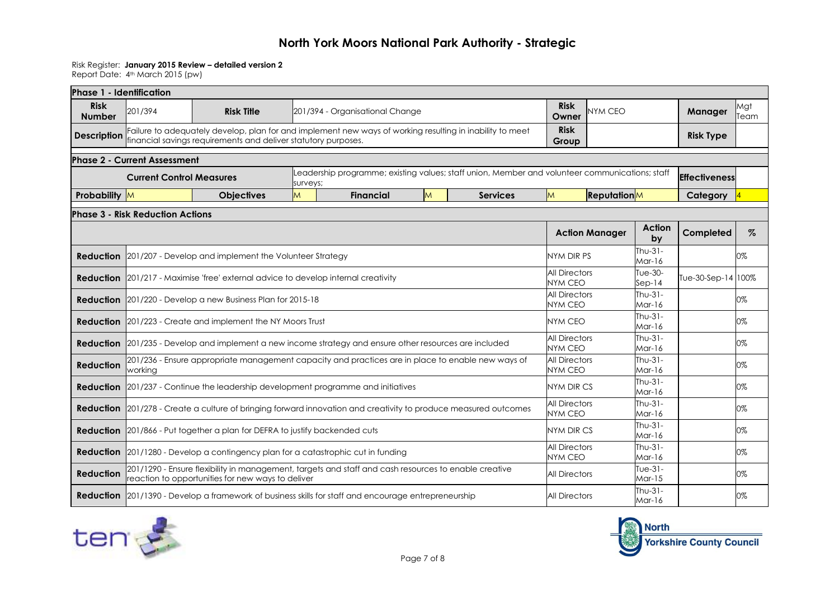#### Risk Register: **January 2015 Review – detailed version 2**

| Phase 1 - Identification                |                                     |                                                                                                                                                                            |                                        |                                        |                      |                                                                                                |                                        |                     |                        |                      |             |  |
|-----------------------------------------|-------------------------------------|----------------------------------------------------------------------------------------------------------------------------------------------------------------------------|----------------------------------------|----------------------------------------|----------------------|------------------------------------------------------------------------------------------------|----------------------------------------|---------------------|------------------------|----------------------|-------------|--|
| <b>Risk</b><br><b>Number</b>            | 201/394                             | <b>Risk Title</b>                                                                                                                                                          |                                        | 201/394 - Organisational Change        |                      |                                                                                                | <b>Risk</b><br>Owner                   | NYM CEO             |                        | <b>Manager</b>       | Mgt<br>Team |  |
| <b>Description</b>                      |                                     | Failure to adequately develop, plan for and implement new ways of working resulting in inability to meet<br>financial savings requirements and deliver statutory purposes. |                                        |                                        |                      |                                                                                                | <b>Risk</b><br>Group                   |                     |                        | <b>Risk Type</b>     |             |  |
|                                         | <b>Phase 2 - Current Assessment</b> |                                                                                                                                                                            |                                        |                                        |                      |                                                                                                |                                        |                     |                        |                      |             |  |
|                                         | <b>Current Control Measures</b>     |                                                                                                                                                                            | surveys;                               |                                        |                      | Leadership programme; existing values; staff union, Member and volunteer communications; staff |                                        |                     |                        | <b>Effectiveness</b> |             |  |
| Probability M                           |                                     | <b>Objectives</b>                                                                                                                                                          | M                                      | <b>Financial</b>                       | M                    | <b>Services</b>                                                                                | $\overline{M}$                         | <b>Reputation</b> M |                        | Category             |             |  |
| <b>Phase 3 - Risk Reduction Actions</b> |                                     |                                                                                                                                                                            |                                        |                                        |                      |                                                                                                |                                        |                     |                        |                      |             |  |
|                                         |                                     |                                                                                                                                                                            |                                        | <b>Action Manager</b>                  | Action<br>by         | Completed                                                                                      | $\%$                                   |                     |                        |                      |             |  |
| <b>Reduction</b>                        |                                     | 201/207 - Develop and implement the Volunteer Strategy                                                                                                                     | NYM DIR PS                             |                                        | Thu- $31-$<br>Mar-16 |                                                                                                | 0%                                     |                     |                        |                      |             |  |
|                                         |                                     | <b>Reduction</b> 201/217 - Maximise 'free' external advice to develop internal creativity                                                                                  |                                        | <b>All Directors</b><br><b>NYM CEO</b> |                      | Tue-30-<br>$Sep-14$                                                                            | Tue-30-Sep-14 100%                     |                     |                        |                      |             |  |
|                                         |                                     | <b>Reduction</b> 201/220 - Develop a new Business Plan for 2015-18                                                                                                         | <b>All Directors</b><br><b>NYM CEO</b> |                                        | $Thu-31-$<br>Mar-16  |                                                                                                | 0%                                     |                     |                        |                      |             |  |
|                                         |                                     | <b>Reduction</b> 201/223 - Create and implement the NY Moors Trust                                                                                                         |                                        |                                        |                      |                                                                                                | NYM CEO                                |                     | Thu-31-<br>Mar-16      |                      | 0%          |  |
|                                         |                                     | <b>Reduction</b> 201/235 - Develop and implement a new income strategy and ensure other resources are included                                                             |                                        |                                        |                      |                                                                                                | <b>All Directors</b><br><b>NYM CEO</b> |                     | Thu-31-<br>$Mar-16$    |                      | 0%          |  |
| <b>Reduction</b>                        | working                             | 201/236 - Ensure appropriate management capacity and practices are in place to enable new ways of                                                                          |                                        |                                        |                      |                                                                                                | <b>All Directors</b><br><b>NYM CEO</b> |                     | Thu-31-<br>$M$ ar-16   |                      | 0%          |  |
| <b>Reduction</b>                        |                                     | 201/237 - Continue the leadership development programme and initiatives                                                                                                    |                                        |                                        |                      |                                                                                                | <b>NYM DIR CS</b>                      |                     | Thu-31-<br>$Mar-16$    |                      | 0%          |  |
| <b>Reduction</b>                        |                                     | 201/278 - Create a culture of bringing forward innovation and creativity to produce measured outcomes                                                                      |                                        |                                        |                      |                                                                                                | <b>All Directors</b><br><b>NYM CEO</b> |                     | Thu-31-<br>Mar-16      |                      | 0%          |  |
|                                         |                                     | <b>Reduction</b> 201/866 - Put together a plan for DEFRA to justify backended cuts                                                                                         |                                        |                                        |                      |                                                                                                | <b>NYM DIR CS</b>                      |                     | Thu-31-<br>Mar-16      |                      | 0%          |  |
|                                         |                                     | <b>Reduction</b> 201/1280 - Develop a contingency plan for a catastrophic cut in funding                                                                                   |                                        |                                        |                      |                                                                                                | <b>All Directors</b><br><b>NYM CEO</b> |                     | Thu-31-<br>Mar-16      |                      | 0%          |  |
| <b>Reduction</b>                        |                                     | 201/1290 - Ensure flexibility in management, targets and staff and cash resources to enable creative<br>reaction to opportunities for new ways to deliver                  |                                        |                                        |                      |                                                                                                | <b>All Directors</b>                   |                     | Tue- $31-$<br>$Mar-15$ |                      | 0%          |  |
|                                         |                                     | <b>Reduction</b> 201/1390 - Develop a framework of business skills for staff and encourage entrepreneurship                                                                |                                        |                                        |                      |                                                                                                | <b>All Directors</b>                   |                     | Thu-31-<br>$Mar-16$    |                      | 0%          |  |